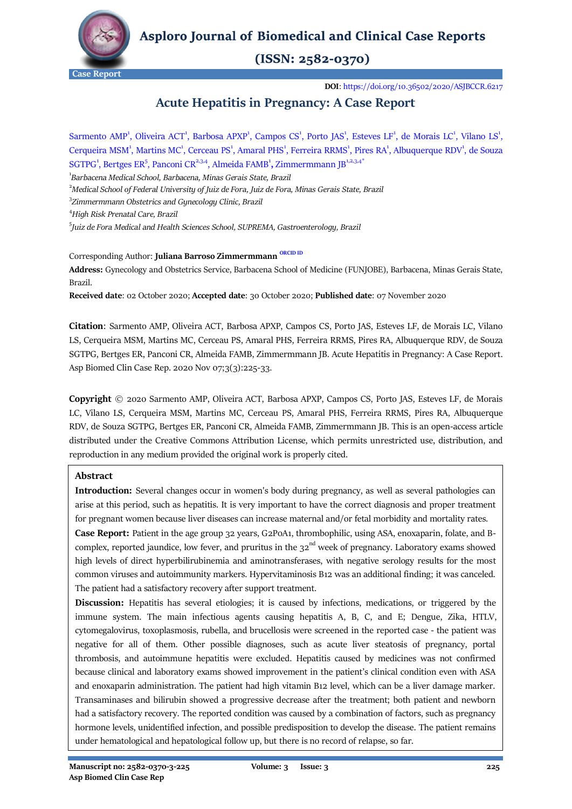

**Asploro Journal of Biomedical and Clinical Case Reports** 

# $(ISSN: 2582-0370)$

**Case Report**

**DOI**[: https://doi.org/10.36502/2020/ASJBCCR.6217](https://doi.org/10.36502/2020/ASJBCCR.6217)

# **Acute Hepatitis in Pregnancy: A Case Report**

Sarmento AMP<sup>1</sup>, Oliveira ACT<sup>1</sup>, Barbosa APXP<sup>1</sup>, Campos CS<sup>1</sup>, Porto JAS<sup>1</sup>, Esteves LF<sup>1</sup>, de Morais LC<sup>1</sup>, Vilano LS<sup>1</sup>, Cerqueira MSM<sup>1</sup>, Martins MC<sup>1</sup>, Cerceau PS<sup>1</sup>, Amaral PHS<sup>1</sup>, Ferreira RRMS<sup>1</sup>, Pires RA<sup>1</sup>, Albuquerque RDV<sup>1</sup>, de Souza SGTPG<sup>1</sup>, Bertges ER<sup>5</sup>, Panconi CR<sup>2,3,4</sup>, Almeida FAMB<sup>1</sup>, Zimmermmann JB<sup>1,2,3,4</sub>\*</sup> 1 *[Barbacena Medical School,](http://www.funjob.edu.br/) Barbacena, Minas Gerais State, Brazil* <sup>2</sup>*[Medical School of Federal University of Juiz de Fora,](https://www2.ufjf.br/international/undergraduate/medicine/) Juiz de Fora, Minas Gerais State, Brazil* 3 *Zimmermmann Obstetrics and Gynecology Clinic, Brazil*

<sup>4</sup>*High Risk Prenatal Care, Brazil*

5 *Juiz de Fora Medical and Health Sciences School, SUPREMA, Gastroenterology, Brazil*

## Corresponding Author: **Juliana Barroso Zimmermmann [ORCID ID](https://orcid.org/0000-0002-2491-8807)**

**Address:** Gynecology and Obstetrics Service, Barbacena School of Medicine (FUNJOBE), Barbacena, Minas Gerais State, Brazil.

**Received date**: 02 October 2020; **Accepted date**: 30 October 2020; **Published date**: 07 November 2020

**Citation**: Sarmento AMP, Oliveira ACT, Barbosa APXP, Campos CS, Porto JAS, Esteves LF, de Morais LC, Vilano LS, Cerqueira MSM, Martins MC, Cerceau PS, Amaral PHS, Ferreira RRMS, Pires RA, Albuquerque RDV, de Souza SGTPG, Bertges ER, Panconi CR, Almeida FAMB, Zimmermmann JB. Acute Hepatitis in Pregnancy: A Case Report. Asp Biomed Clin Case Rep. 2020 Nov 07;3(3):225-33.

**Copyright** © 2020 Sarmento AMP, Oliveira ACT, Barbosa APXP, Campos CS, Porto JAS, Esteves LF, de Morais LC, Vilano LS, Cerqueira MSM, Martins MC, Cerceau PS, Amaral PHS, Ferreira RRMS, Pires RA, Albuquerque RDV, de Souza SGTPG, Bertges ER, Panconi CR, Almeida FAMB, Zimmermmann JB. This is an open-access article distributed under the Creative Commons Attribution License, which permits unrestricted use, distribution, and reproduction in any medium provided the original work is properly cited.

## **Abstract**

**Introduction:** Several changes occur in women's body during pregnancy, as well as several pathologies can arise at this period, such as hepatitis. It is very important to have the correct diagnosis and proper treatment for pregnant women because liver diseases can increase maternal and/or fetal morbidity and mortality rates.

**Case Report:** Patient in the age group 32 years, G2P0A1, thrombophilic, using ASA, enoxaparin, folate, and Bcomplex, reported jaundice, low fever, and pruritus in the  $32<sup>nd</sup>$  week of pregnancy. Laboratory exams showed high levels of direct hyperbilirubinemia and aminotransferases, with negative serology results for the most common viruses and autoimmunity markers. Hypervitaminosis B12 was an additional finding; it was canceled. The patient had a satisfactory recovery after support treatment.

**Discussion:** Hepatitis has several etiologies; it is caused by infections, medications, or triggered by the immune system. The main infectious agents causing hepatitis A, B, C, and E; Dengue, Zika, HTLV, cytomegalovirus, toxoplasmosis, rubella, and brucellosis were screened in the reported case - the patient was negative for all of them. Other possible diagnoses, such as acute liver steatosis of pregnancy, portal thrombosis, and autoimmune hepatitis were excluded. Hepatitis caused by medicines was not confirmed because clinical and laboratory exams showed improvement in the patient's clinical condition even with ASA and enoxaparin administration. The patient had high vitamin B12 level, which can be a liver damage marker. Transaminases and bilirubin showed a progressive decrease after the treatment; both patient and newborn had a satisfactory recovery. The reported condition was caused by a combination of factors, such as pregnancy hormone levels, unidentified infection, and possible predisposition to develop the disease. The patient remains under hematological and hepatological follow up, but there is no record of relapse, so far.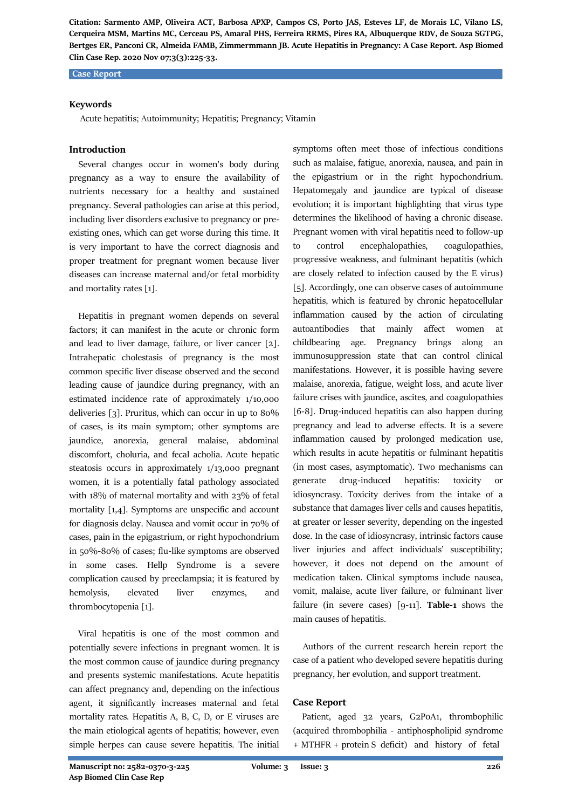#### **Case Report**

## **Keywords**

Acute hepatitis; Autoimmunity; Hepatitis; Pregnancy; Vitamin

## **Introduction**

 Several changes occur in women's body during pregnancy as a way to ensure the availability of nutrients necessary for a healthy and sustained pregnancy. Several pathologies can arise at this period, including liver disorders exclusive to pregnancy or preexisting ones, which can get worse during this time. It is very important to have the correct diagnosis and proper treatment for pregnant women because liver diseases can increase maternal and/or fetal morbidity and mortality rates [1].

 Hepatitis in pregnant women depends on several factors; it can manifest in the acute or chronic form and lead to liver damage, failure, or liver cancer [2]. Intrahepatic cholestasis of pregnancy is the most common specific liver disease observed and the second leading cause of jaundice during pregnancy, with an estimated incidence rate of approximately 1/10,000 deliveries [3]. Pruritus, which can occur in up to 80% of cases, is its main symptom; other symptoms are jaundice, anorexia, general malaise, abdominal discomfort, choluria, and fecal acholia. Acute hepatic steatosis occurs in approximately 1/13,000 pregnant women, it is a potentially fatal pathology associated with 18% of maternal mortality and with 23% of fetal mortality [1,4]. Symptoms are unspecific and account for diagnosis delay. Nausea and vomit occur in 70% of cases, pain in the epigastrium, or right hypochondrium in 50%-80% of cases; flu-like symptoms are observed in some cases. Hellp Syndrome is a severe complication caused by preeclampsia; it is featured by hemolysis, elevated liver enzymes, and thrombocytopenia [1].

 Viral hepatitis is one of the most common and potentially severe infections in pregnant women. It is the most common cause of jaundice during pregnancy and presents systemic manifestations. Acute hepatitis can affect pregnancy and, depending on the infectious agent, it significantly increases maternal and fetal mortality rates. Hepatitis A, B, C, D, or E viruses are the main etiological agents of hepatitis; however, even simple herpes can cause severe hepatitis. The initial

symptoms often meet those of infectious conditions such as malaise, fatigue, anorexia, nausea, and pain in the epigastrium or in the right hypochondrium. Hepatomegaly and jaundice are typical of disease evolution; it is important highlighting that virus type determines the likelihood of having a chronic disease. Pregnant women with viral hepatitis need to follow-up to control encephalopathies, coagulopathies, progressive weakness, and fulminant hepatitis (which are closely related to infection caused by the E virus) [5]. Accordingly, one can observe cases of autoimmune hepatitis, which is featured by chronic hepatocellular inflammation caused by the action of circulating autoantibodies that mainly affect women at childbearing age. Pregnancy brings along an immunosuppression state that can control clinical manifestations. However, it is possible having severe malaise, anorexia, fatigue, weight loss, and acute liver failure crises with jaundice, ascites, and coagulopathies [6-8]. Drug-induced hepatitis can also happen during pregnancy and lead to adverse effects. It is a severe inflammation caused by prolonged medication use, which results in acute hepatitis or fulminant hepatitis (in most cases, asymptomatic). Two mechanisms can generate drug-induced hepatitis: toxicity or idiosyncrasy. Toxicity derives from the intake of a substance that damages liver cells and causes hepatitis, at greater or lesser severity, depending on the ingested dose. In the case of idiosyncrasy, intrinsic factors cause liver injuries and affect individuals' susceptibility; however, it does not depend on the amount of medication taken. Clinical symptoms include nausea, vomit, malaise, acute liver failure, or fulminant liver failure (in severe cases) [9-11]. **Table-1** shows the main causes of hepatitis.

 Authors of the current research herein report the case of a patient who developed severe hepatitis during pregnancy, her evolution, and support treatment.

## **Case Report**

 Patient, aged 32 years, G2P0A1, thrombophilic (acquired thrombophilia - antiphospholipid syndrome + MTHFR + protein S deficit) and history of fetal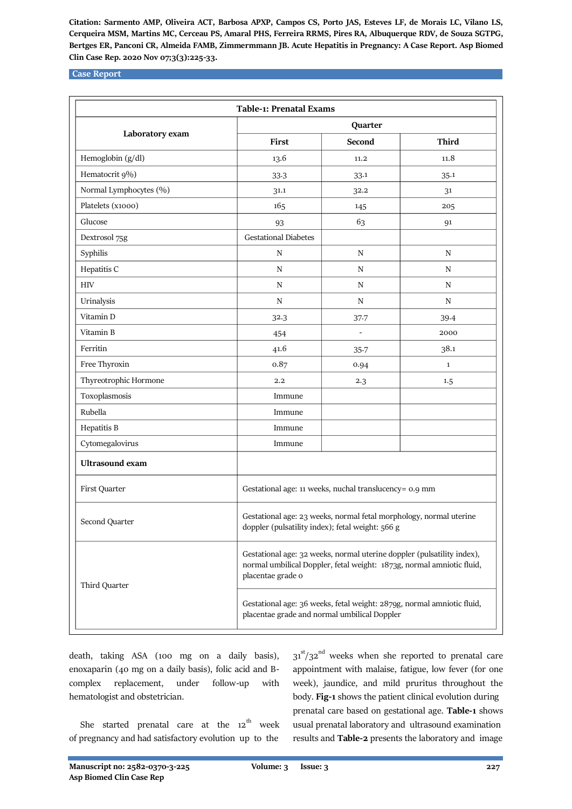### **Case Report**

|                        | Table-1: Prenatal Exams                                                                                                                                              |                                                                                                                        |              |  |
|------------------------|----------------------------------------------------------------------------------------------------------------------------------------------------------------------|------------------------------------------------------------------------------------------------------------------------|--------------|--|
| Laboratory exam        | Quarter                                                                                                                                                              |                                                                                                                        |              |  |
|                        | First                                                                                                                                                                | Second                                                                                                                 | <b>Third</b> |  |
| Hemoglobin (g/dl)      | 13.6                                                                                                                                                                 | 11.2                                                                                                                   | 11.8         |  |
| Hematocrit 9%)         | 33.3                                                                                                                                                                 | 33.1                                                                                                                   | 35.1         |  |
| Normal Lymphocytes (%) | 31.1                                                                                                                                                                 | 32.2                                                                                                                   | 31           |  |
| Platelets (x1000)      | 165                                                                                                                                                                  | 145                                                                                                                    | 205          |  |
| Glucose                | 93                                                                                                                                                                   | 63                                                                                                                     | 91           |  |
| Dextrosol 75g          | <b>Gestational Diabetes</b>                                                                                                                                          |                                                                                                                        |              |  |
| Syphilis               | N                                                                                                                                                                    | N                                                                                                                      | $\mathbf N$  |  |
| Hepatitis C            | ${\bf N}$                                                                                                                                                            | N                                                                                                                      | $\mathbf N$  |  |
| $\rm{HIV}$             | ${\bf N}$                                                                                                                                                            | $\mathbf N$                                                                                                            | $\mathbf N$  |  |
| Urinalysis             | ${\bf N}$                                                                                                                                                            | $\mathbf N$                                                                                                            | N            |  |
| Vitamin D              | 32.3                                                                                                                                                                 | 37.7                                                                                                                   | 39.4         |  |
| Vitamin B              | 454                                                                                                                                                                  | ÷,                                                                                                                     | 2000         |  |
| Ferritin               | 41.6                                                                                                                                                                 | $35 - 7$                                                                                                               | 38.1         |  |
| Free Thyroxin          | 0.87                                                                                                                                                                 | 0.94                                                                                                                   | $\mathbf{1}$ |  |
| Thyreotrophic Hormone  | 2.2                                                                                                                                                                  | 2.3                                                                                                                    | 1.5          |  |
| Toxoplasmosis          | Immune                                                                                                                                                               |                                                                                                                        |              |  |
| Rubella                | Immune                                                                                                                                                               |                                                                                                                        |              |  |
| Hepatitis B            | Immune                                                                                                                                                               |                                                                                                                        |              |  |
| Cytomegalovirus        | Immune                                                                                                                                                               |                                                                                                                        |              |  |
| <b>Ultrasound</b> exam |                                                                                                                                                                      |                                                                                                                        |              |  |
| First Quarter          |                                                                                                                                                                      | Gestational age: 11 weeks, nuchal translucency= 0.9 mm                                                                 |              |  |
| Second Quarter         |                                                                                                                                                                      | Gestational age: 23 weeks, normal fetal morphology, normal uterine<br>doppler (pulsatility index); fetal weight: 566 g |              |  |
| Third Quarter          | Gestational age: 32 weeks, normal uterine doppler (pulsatility index),<br>normal umbilical Doppler, fetal weight: 1873g, normal amniotic fluid,<br>placentae grade o |                                                                                                                        |              |  |
|                        |                                                                                                                                                                      | Gestational age: 36 weeks, fetal weight: 2879g, normal amniotic fluid,<br>placentae grade and normal umbilical Doppler |              |  |

death, taking ASA (100 mg on a daily basis), enoxaparin (40 mg on a daily basis), folic acid and Bcomplex replacement, under follow-up with hematologist and obstetrician.

She started prenatal care at the  $12^{th}$  week of pregnancy and had satisfactory evolution up to the

 $31<sup>st</sup>/32<sup>nd</sup>$  weeks when she reported to prenatal care appointment with malaise, fatigue, low fever (for one week), jaundice, and mild pruritus throughout the body. **Fig-1** shows the patient clinical evolution during prenatal care based on gestational age. **Table-1** shows usual prenatal laboratory and ultrasound examination results and **Table-2** presents the laboratory and image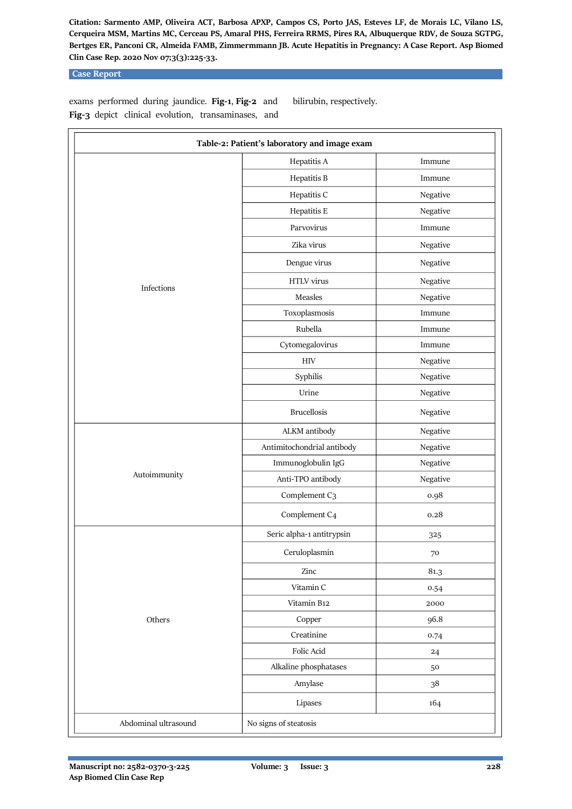## **Case Report**

exams performed during jaundice. **Fig-1**, **Fig-2** and **Fig-3** depict clinical evolution, transaminases, and bilirubin, respectively.

| Table-2: Patient's laboratory and image exam |                            |             |  |
|----------------------------------------------|----------------------------|-------------|--|
|                                              | Hepatitis A                | Immune      |  |
| Infections                                   | Hepatitis B                | Immune      |  |
|                                              | Hepatitis C                | Negative    |  |
|                                              | Hepatitis E                | Negative    |  |
|                                              | Parvovirus                 | Immune      |  |
|                                              | Zika virus                 | Negative    |  |
|                                              | Dengue virus               | Negative    |  |
|                                              | HTLV virus                 | Negative    |  |
|                                              | Measles                    | Negative    |  |
|                                              | Toxoplasmosis              | Immune      |  |
|                                              | Rubella                    | Immune      |  |
|                                              | Cytomegalovirus            | Immune      |  |
|                                              | $\rm{HIV}$                 | Negative    |  |
|                                              | Syphilis                   | Negative    |  |
|                                              | Urine                      | Negative    |  |
|                                              | <b>Brucellosis</b>         | Negative    |  |
| Autoimmunity                                 | ALKM antibody              | Negative    |  |
|                                              | Antimitochondrial antibody | Negative    |  |
|                                              | Immunoglobulin IgG         | Negative    |  |
|                                              | Anti-TPO antibody          | Negative    |  |
|                                              | Complement C3              | 0.98        |  |
|                                              | Complement C4              | 0.28        |  |
| Others                                       | Seric alpha-1 antitrypsin  | 325         |  |
|                                              | Ceruloplasmin              | 70          |  |
|                                              | Zinc                       | 81.3        |  |
|                                              | Vitamin C                  | 0.54        |  |
|                                              | Vitamin B12                | 2000        |  |
|                                              | Copper                     | 96.8        |  |
|                                              | Creatinine                 | 0.74        |  |
|                                              | Folic Acid                 | $^{\rm 24}$ |  |
|                                              | Alkaline phosphatases      | 50          |  |
|                                              | Amylase                    | 38          |  |
|                                              | Lipases                    | 164         |  |
| Abdominal ultrasound                         | No signs of steatosis      |             |  |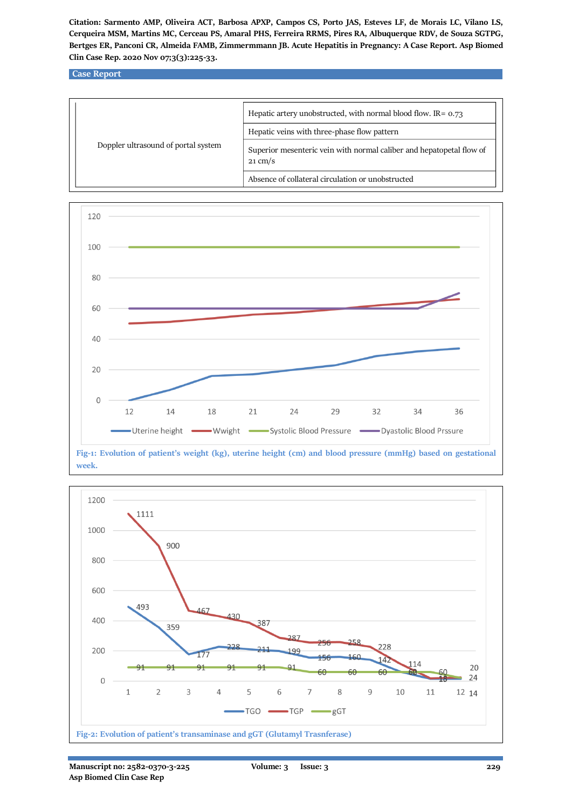**Case Report**





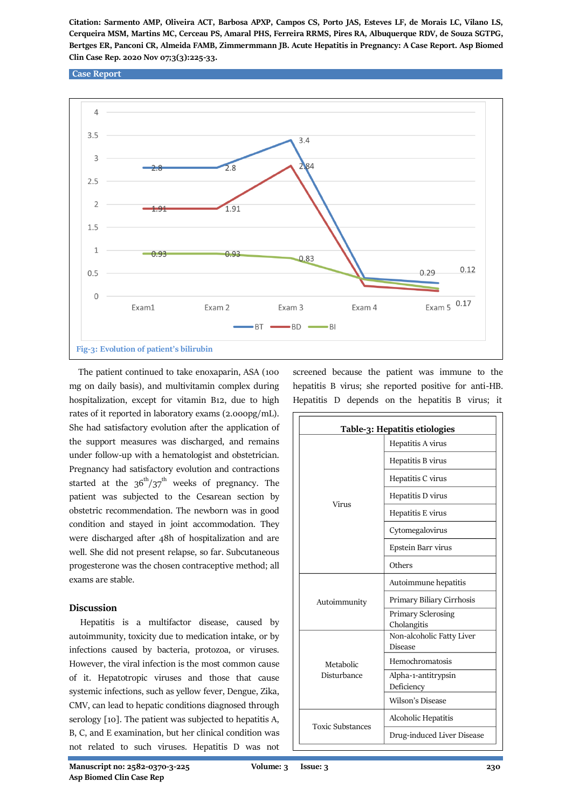#### **Case Report**



 The patient continued to take enoxaparin, ASA (100 mg on daily basis), and multivitamin complex during hospitalization, except for vitamin B12, due to high rates of it reported in laboratory exams (2.000pg/mL). She had satisfactory evolution after the application of the support measures was discharged, and remains under follow-up with a hematologist and obstetrician. Pregnancy had satisfactory evolution and contractions started at the  $36<sup>th</sup>/37<sup>th</sup>$  weeks of pregnancy. The patient was subjected to the Cesarean section by obstetric recommendation. The newborn was in good condition and stayed in joint accommodation. They were discharged after 48h of hospitalization and are well. She did not present relapse, so far. Subcutaneous progesterone was the chosen contraceptive method; all exams are stable.

## **Discussion**

 Hepatitis is a multifactor disease, caused by autoimmunity, toxicity due to medication intake, or by infections caused by bacteria, protozoa, or viruses. However, the viral infection is the most common cause of it. Hepatotropic viruses and those that cause systemic infections, such as yellow fever, Dengue, Zika, CMV, can lead to hepatic conditions diagnosed through serology [10]. The patient was subjected to hepatitis A, B, C, and E examination, but her clinical condition was not related to such viruses. Hepatitis D was not

screened because the patient was immune to the hepatitis B virus; she reported positive for anti-HB. Hepatitis D depends on the hepatitis B virus; it

| Table-3: Hepatitis etiologies |                                          |  |
|-------------------------------|------------------------------------------|--|
| Virus                         | Hepatitis A virus                        |  |
|                               | Hepatitis B virus                        |  |
|                               | Hepatitis C virus                        |  |
|                               | Hepatitis D virus                        |  |
|                               | Hepatitis E virus                        |  |
|                               | Cytomegalovirus                          |  |
|                               | Epstein Barr virus                       |  |
|                               | Others                                   |  |
| Autoimmunity                  | Autoimmune hepatitis                     |  |
|                               | Primary Biliary Cirrhosis                |  |
|                               | <b>Primary Sclerosing</b><br>Cholangitis |  |
| Metabolic<br>Disturbance      | Non-alcoholic Fatty Liver<br>Disease     |  |
|                               | Hemochromatosis                          |  |
|                               | Alpha-1-antitrypsin<br>Deficiency        |  |
|                               | Wilson's Disease                         |  |
| <b>Toxic Substances</b>       | Alcoholic Hepatitis                      |  |
|                               | Drug-induced Liver Disease               |  |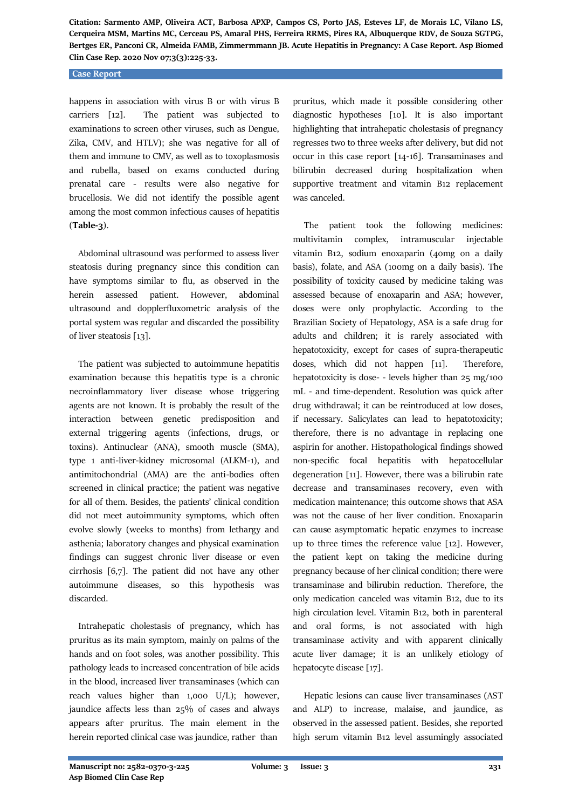#### **Case Report**

happens in association with virus B or with virus B carriers [12]. The patient was subjected to examinations to screen other viruses, such as Dengue, Zika, CMV, and HTLV); she was negative for all of them and immune to CMV, as well as to toxoplasmosis and rubella, based on exams conducted during prenatal care - results were also negative for brucellosis. We did not identify the possible agent among the most common infectious causes of hepatitis (**Table-3**).

 Abdominal ultrasound was performed to assess liver steatosis during pregnancy since this condition can have symptoms similar to flu, as observed in the herein assessed patient. However, abdominal ultrasound and dopplerfluxometric analysis of the portal system was regular and discarded the possibility of liver steatosis [13].

 The patient was subjected to autoimmune hepatitis examination because this hepatitis type is a chronic necroinflammatory liver disease whose triggering agents are not known. It is probably the result of the interaction between genetic predisposition and external triggering agents (infections, drugs, or toxins). Antinuclear (ANA), smooth muscle (SMA), type 1 anti-liver-kidney microsomal (ALKM-1), and antimitochondrial (AMA) are the anti-bodies often screened in clinical practice; the patient was negative for all of them. Besides, the patients' clinical condition did not meet autoimmunity symptoms, which often evolve slowly (weeks to months) from lethargy and asthenia; laboratory changes and physical examination findings can suggest chronic liver disease or even cirrhosis [6,7]. The patient did not have any other autoimmune diseases, so this hypothesis was discarded.

 Intrahepatic cholestasis of pregnancy, which has pruritus as its main symptom, mainly on palms of the hands and on foot soles, was another possibility. This pathology leads to increased concentration of bile acids in the blood, increased liver transaminases (which can reach values higher than 1,000 U/L); however, jaundice affects less than 25% of cases and always appears after pruritus. The main element in the herein reported clinical case was jaundice, rather than

pruritus, which made it possible considering other diagnostic hypotheses [10]. It is also important highlighting that intrahepatic cholestasis of pregnancy regresses two to three weeks after delivery, but did not occur in this case report [14-16]. Transaminases and bilirubin decreased during hospitalization when supportive treatment and vitamin B12 replacement was canceled.

 The patient took the following medicines: multivitamin complex, intramuscular injectable vitamin B12, sodium enoxaparin (40mg on a daily basis), folate, and ASA (100mg on a daily basis). The possibility of toxicity caused by medicine taking was assessed because of enoxaparin and ASA; however, doses were only prophylactic. According to the Brazilian Society of Hepatology, ASA is a safe drug for adults and children; it is rarely associated with hepatotoxicity, except for cases of supra-therapeutic doses, which did not happen [11]. Therefore, hepatotoxicity is dose- - levels higher than 25 mg/100 mL - and time-dependent. Resolution was quick after drug withdrawal; it can be reintroduced at low doses, if necessary. Salicylates can lead to hepatotoxicity; therefore, there is no advantage in replacing one aspirin for another. Histopathological findings showed non-specific focal hepatitis with hepatocellular degeneration [11]. However, there was a bilirubin rate decrease and transaminases recovery, even with medication maintenance; this outcome shows that ASA was not the cause of her liver condition. Enoxaparin can cause asymptomatic hepatic enzymes to increase up to three times the reference value [12]. However, the patient kept on taking the medicine during pregnancy because of her clinical condition; there were transaminase and bilirubin reduction. Therefore, the only medication canceled was vitamin B12, due to its high circulation level. Vitamin B12, both in parenteral and oral forms, is not associated with high transaminase activity and with apparent clinically acute liver damage; it is an unlikely etiology of hepatocyte disease [17].

 Hepatic lesions can cause liver transaminases (AST and ALP) to increase, malaise, and jaundice, as observed in the assessed patient. Besides, she reported high serum vitamin B12 level assumingly associated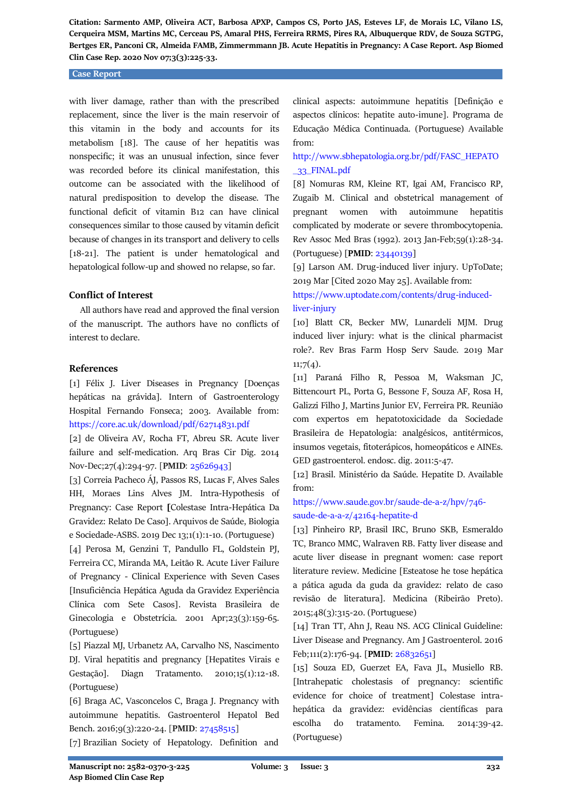#### **Case Report**

with liver damage, rather than with the prescribed replacement, since the liver is the main reservoir of this vitamin in the body and accounts for its metabolism [18]. The cause of her hepatitis was nonspecific; it was an unusual infection, since fever was recorded before its clinical manifestation, this outcome can be associated with the likelihood of natural predisposition to develop the disease. The functional deficit of vitamin B12 can have clinical consequences similar to those caused by vitamin deficit because of changes in its transport and delivery to cells [18-21]. The patient is under hematological and hepatological follow-up and showed no relapse, so far.

## **Conflict of Interest**

 All authors have read and approved the final version of the manuscript. The authors have no conflicts of interest to declare.

## **References**

[1] Félix J. Liver Diseases in Pregnancy [Doenças hepáticas na grávida]. Intern of Gastroenterology Hospital Fernando Fonseca; 2003. Available from: <https://core.ac.uk/download/pdf/62714831.pdf>

[2] de Oliveira AV, Rocha FT, Abreu SR. Acute liver failure and self-medication. Arq Bras Cir Dig. 2014 Nov-Dec;27(4):294-97. [**PMID**: [25626943\]](https://pubmed.ncbi.nlm.nih.gov/25626943/)

[3] Correia Pacheco ÁJ, Passos RS, Lucas F, Alves Sales HH, Moraes Lins Alves JM. Intra-Hypothesis of Pregnancy: Case Report **[**Colestase Intra-Hepática Da Gravidez: Relato De Caso]. Arquivos de Saúde, Biologia e Sociedade-ASBS. 2019 Dec 13;1(1):1-10. (Portuguese)

[4] Perosa M, Genzini T, Pandullo FL, Goldstein PJ, Ferreira CC, Miranda MA, Leitão R. Acute Liver Failure of Pregnancy - Clinical Experience with Seven Cases [Insuficiência Hepática Aguda da Gravidez Experiência Clínica com Sete Casos]. Revista Brasileira de Ginecologia e Obstetrícia. 2001 Apr;23(3):159-65. (Portuguese)

[5] Piazzal MJ, Urbanetz AA, Carvalho NS, Nascimento DJ. Viral hepatitis and pregnancy [Hepatites Virais e Gestação]. Diagn Tratamento. 2010;15(1):12-18. (Portuguese)

[6] Braga AC, Vasconcelos C, Braga J. Pregnancy with autoimmune hepatitis. Gastroenterol Hepatol Bed Bench. 2016;9(3):220-24. [**PMID**: [27458515\]](https://pubmed.ncbi.nlm.nih.gov/27458515/)

[7] Brazilian Society of Hepatology. Definition and

clinical aspects: autoimmune hepatitis [Definição e aspectos clínicos: hepatite auto-imune]. Programa de Educação Médica Continuada. (Portuguese) Available from:

## [http://www.sbhepatologia.org.br/pdf/FASC\\_HEPATO](http://www.sbhepatologia.org.br/pdf/FASC_HEPATO_33_FINAL.pdf) [\\_33\\_FINAL.pdf](http://www.sbhepatologia.org.br/pdf/FASC_HEPATO_33_FINAL.pdf)

[8] Nomuras RM, Kleine RT, Igai AM, Francisco RP, Zugaib M. Clinical and obstetrical management of pregnant women with autoimmune hepatitis complicated by moderate or severe thrombocytopenia. Rev Assoc Med Bras (1992). 2013 Jan-Feb;59(1):28-34. (Portuguese) [**PMID**[: 23440139\]](https://pubmed.ncbi.nlm.nih.gov/23440139/)

[9] Larson AM. Drug-induced liver injury. UpToDate; 2019 Mar [Cited 2020 May 25]. Available from:

## [https://www.uptodate.com/contents/drug-induced](https://www.uptodate.com/contents/drug-induced-liver-injury)[liver-injury](https://www.uptodate.com/contents/drug-induced-liver-injury)

[10] Blatt CR, Becker MW, Lunardeli MJM. Drug induced liver injury: what is the clinical pharmacist role?. Rev Bras Farm Hosp Serv Saude. 2019 Mar  $11;7(4).$ 

[11] Paraná Filho R, Pessoa M, Waksman JC, Bittencourt PL, Porta G, Bessone F, Souza AF, Rosa H, Galizzi Filho J, Martins Junior EV, Ferreira PR. Reunião com expertos em hepatotoxicidade da Sociedade Brasileira de Hepatologia: analgésicos, antitérmicos, insumos vegetais, fitoterápicos, homeopáticos e AINEs. GED gastroenterol. endosc. dig. 2011:5-47.

[12] Brasil. Ministério da Saúde. Hepatite D. Available from:

## [https://www.saude.gov.br/saude-de-a-z/hpv/746](https://www.saude.gov.br/saude-de-a-z/hpv/746-saude-de-a-a-z/42164-hepatite-d) [saude-de-a-a-z/42164-hepatite-d](https://www.saude.gov.br/saude-de-a-z/hpv/746-saude-de-a-a-z/42164-hepatite-d)

[13] Pinheiro RP, Brasil IRC, Bruno SKB, Esmeraldo TC, Branco MMC, Walraven RB. Fatty liver disease and acute liver disease in pregnant women: case report literature review. Medicine [Esteatose he tose hepática a pática aguda da guda da gravidez: relato de caso revisão de literatura]. Medicina (Ribeirão Preto). 2015;48(3):315-20. (Portuguese)

[14] Tran TT, Ahn J, Reau NS. ACG Clinical Guideline: Liver Disease and Pregnancy. Am J Gastroenterol. 2016 Feb;111(2):176-94. [**PMID**[: 26832651\]](https://pubmed.ncbi.nlm.nih.gov/26832651/)

[15] Souza ED, Guerzet EA, Fava JL, Musiello RB. [Intrahepatic cholestasis of pregnancy: scientific evidence for choice of treatment] Colestase intrahepática da gravidez: evidências científicas para escolha do tratamento. Femina. 2014:39-42. (Portuguese)